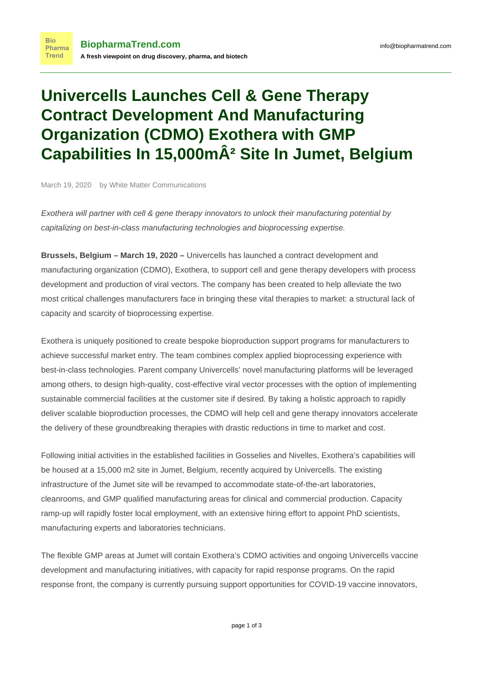## **Univercells Launches Cell & Gene Therapy Contract Development And Manufacturing Organization (CDMO) Exothera with GMP Capabilities In 15,000mÂ<sup>2</sup> Site In Jumet, Belgium**

March 19, 2020 by White Matter Communications

**Bio** 

[Exothera](https://www.biopharmatrend.com/m/company/exothera/) will partner with cell & gene therapy innovators to unlock their manufacturing potential by capitalizing on best-in-class manufacturing technologies and bioprocessing expertise.

**Brussels, Belgium – March 19, 2020 –** [Univercells](https://www.biopharmatrend.com/m/company/univercells/) has launched a contract development and manufacturing organization (CDMO), [Exothera](https://www.biopharmatrend.com/m/company/exothera/), to support cell and gene therapy developers with process development and production of viral vectors. The company has been created to help alleviate the two most critical challenges manufacturers face in bringing these vital therapies to market: a structural lack of capacity and scarcity of bioprocessing expertise.

Exothera is uniquely positioned to create bespoke bioproduction support programs for manufacturers to achieve successful market entry. The team combines complex applied bioprocessing experience with best-in-class technologies. Parent company Univercells' novel manufacturing platforms will be leveraged among others, to design high-quality, cost-effective viral vector processes with the option of implementing sustainable commercial facilities at the customer site if desired. By taking a holistic approach to rapidly deliver scalable bioproduction processes, the CDMO will help cell and gene therapy innovators accelerate the delivery of these groundbreaking therapies with drastic reductions in time to market and cost.

Following initial activities in the established facilities in Gosselies and Nivelles, Exothera's capabilities will be housed at a 15,000 m2 site in Jumet, Belgium, recently acquired by Univercells. The existing infrastructure of the Jumet site will be revamped to accommodate state-of-the-art laboratories, cleanrooms, and GMP qualified manufacturing areas for clinical and commercial production. Capacity ramp-up will rapidly foster local employment, with an extensive hiring effort to appoint PhD scientists, manufacturing experts and laboratories technicians.

The flexible GMP areas at Jumet will contain Exothera's CDMO activities and ongoing Univercells vaccine development and manufacturing initiatives, with capacity for rapid response programs. On the rapid response front, the company is currently pursuing support opportunities for COVID-19 vaccine innovators,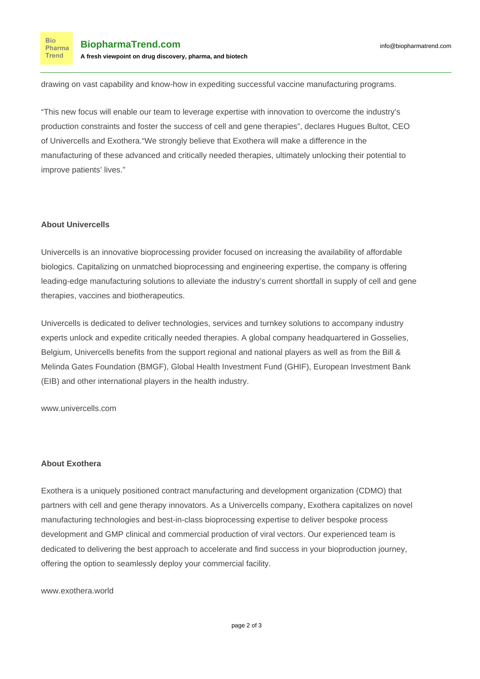drawing on vast capability and know-how in expediting successful vaccine manufacturing programs.

"This new focus will enable our team to leverage expertise with innovation to overcome the industry's production constraints and foster the success of cell and gene therapies", declares Hugues Bultot, CEO of Univercells and Exothera."We strongly believe that Exothera will make a difference in the manufacturing of these advanced and critically needed therapies, ultimately unlocking their potential to improve patients' lives."

## **About Univercells**

Univercells is an innovative bioprocessing provider focused on increasing the availability of affordable biologics. Capitalizing on unmatched bioprocessing and engineering expertise, the company is offering leading-edge manufacturing solutions to alleviate the industry's current shortfall in supply of cell and gene therapies, vaccines and biotherapeutics.

Univercells is dedicated to deliver technologies, services and turnkey solutions to accompany industry experts unlock and expedite critically needed therapies. A global company headquartered in Gosselies, Belgium, Univercells benefits from the support regional and national players as well as from the Bill & Melinda Gates Foundation (BMGF), Global Health Investment Fund (GHIF), European Investment Bank (EIB) and other international players in the health industry.

[www.univercells.com](http://www.univercells.com)

## **About Exothera**

Exothera is a uniquely positioned contract manufacturing and development organization (CDMO) that partners with cell and gene therapy innovators. As a Univercells company, Exothera capitalizes on novel manufacturing technologies and best-in-class bioprocessing expertise to deliver bespoke process development and GMP clinical and commercial production of viral vectors. Our experienced team is dedicated to delivering the best approach to accelerate and find success in your bioproduction journey, offering the option to seamlessly deploy your commercial facility.

[www.exothera.world](http://www.exothera.world)